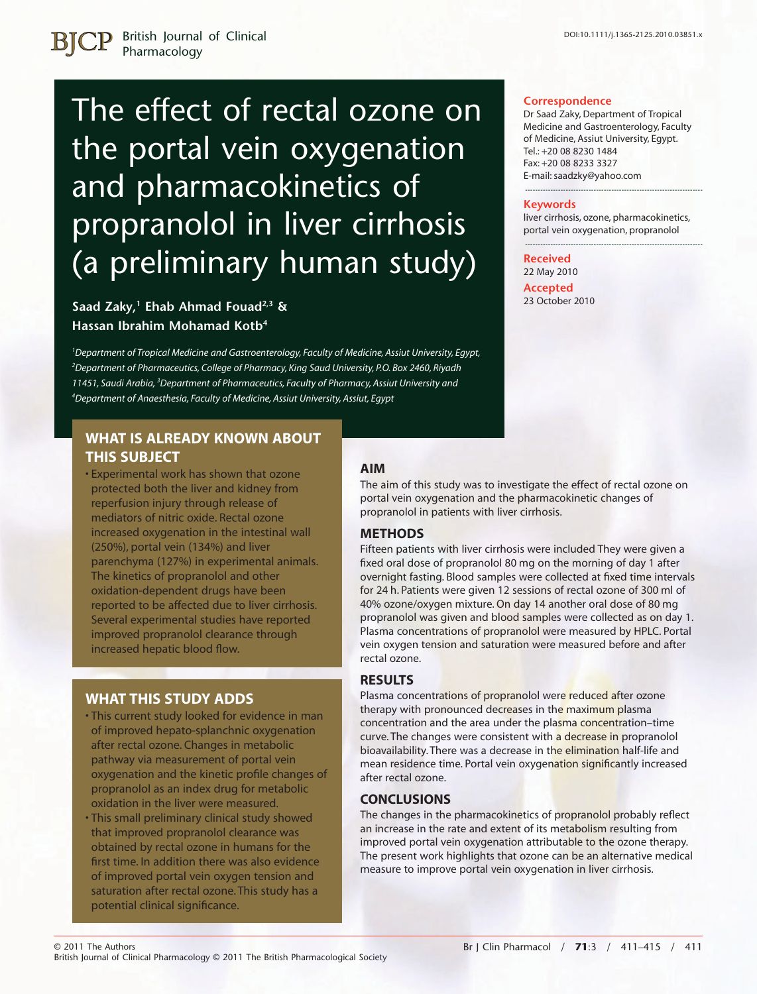**Correspondence**

Tel.: +20 08 8230 1484 Fax: +20 08 8233 3327 E-mail: saadzky@yahoo.com

**Keywords**

**Received** 22 May 2010 **Accepted** 23 October 2010

Dr Saad Zaky, Department of Tropical Medicine and Gastroenterology, Faculty of Medicine, Assiut University, Egypt.

----------------------------------------------------------------------

liver cirrhosis, ozone, pharmacokinetics, portal vein oxygenation, propranolol ----------------------------------------------------------------------

British Journal of Clinical Pharmacology

# The effect of rectal ozone on the portal vein oxygenation and pharmacokinetics of propranolol in liver cirrhosis (a preliminary human study)

### **Saad Zaky,1 Ehab Ahmad Fouad2,3 & Hassan Ibrahim Mohamad Kotb4**

 *Department of Tropical Medicine and Gastroenterology, Faculty of Medicine, Assiut University, Egypt, Department of Pharmaceutics, College of Pharmacy, King Saud University, P.O. Box 2460, Riyadh 11451, Saudi Arabia, <sup>3</sup> Department of Pharmaceutics, Faculty of Pharmacy, Assiut University and Department of Anaesthesia, Faculty of Medicine, Assiut University, Assiut, Egypt*

## **WHAT IS ALREADY KNOWN ABOUT THIS SUBJECT**

• Experimental work has shown that ozone protected both the liver and kidney from reperfusion injury through release of mediators of nitric oxide. Rectal ozone increased oxygenation in the intestinal wall (250%), portal vein (134%) and liver parenchyma (127%) in experimental animals. The kinetics of propranolol and other oxidation-dependent drugs have been reported to be affected due to liver cirrhosis. Several experimental studies have reported improved propranolol clearance through increased hepatic blood flow.

## **WHAT THIS STUDY ADDS**

- This current study looked for evidence in man of improved hepato-splanchnic oxygenation after rectal ozone. Changes in metabolic pathway via measurement of portal vein oxygenation and the kinetic profile changes of propranolol as an index drug for metabolic oxidation in the liver were measured.
- This small preliminary clinical study showed that improved propranolol clearance was obtained by rectal ozone in humans for the first time. In addition there was also evidence of improved portal vein oxygen tension and saturation after rectal ozone. This study has a potential clinical significance.

# **AIM**

The aim of this study was to investigate the effect of rectal ozone on portal vein oxygenation and the pharmacokinetic changes of propranolol in patients with liver cirrhosis.

#### **METHODS**

Fifteen patients with liver cirrhosis were included They were given a fixed oral dose of propranolol 80 mg on the morning of day 1 after overnight fasting. Blood samples were collected at fixed time intervals for 24 h. Patients were given 12 sessions of rectal ozone of 300 ml of 40% ozone/oxygen mixture. On day 14 another oral dose of 80 mg propranolol was given and blood samples were collected as on day 1. Plasma concentrations of propranolol were measured by HPLC. Portal vein oxygen tension and saturation were measured before and after rectal ozone.

#### **RESULTS**

Plasma concentrations of propranolol were reduced after ozone therapy with pronounced decreases in the maximum plasma concentration and the area under the plasma concentration–time curve. The changes were consistent with a decrease in propranolol bioavailability. There was a decrease in the elimination half-life and mean residence time. Portal vein oxygenation significantly increased after rectal ozone.

#### **CONCLUSIONS**

The changes in the pharmacokinetics of propranolol probably reflect an increase in the rate and extent of its metabolism resulting from improved portal vein oxygenation attributable to the ozone therapy. The present work highlights that ozone can be an alternative medical measure to improve portal vein oxygenation in liver cirrhosis.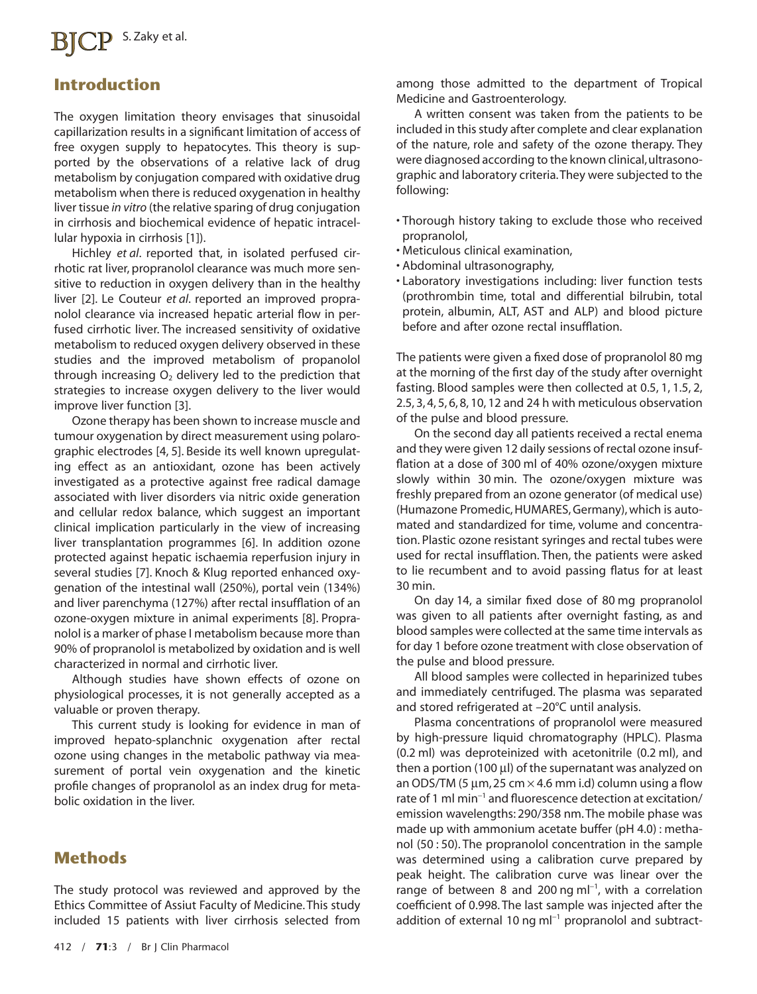# **BICP** S. Zaky et al.

# **Introduction**

The oxygen limitation theory envisages that sinusoidal capillarization results in a significant limitation of access of free oxygen supply to hepatocytes. This theory is supported by the observations of a relative lack of drug metabolism by conjugation compared with oxidative drug metabolism when there is reduced oxygenation in healthy liver tissue *in vitro* (the relative sparing of drug conjugation in cirrhosis and biochemical evidence of hepatic intracellular hypoxia in cirrhosis [1]).

Hichley *et al*. reported that, in isolated perfused cirrhotic rat liver, propranolol clearance was much more sensitive to reduction in oxygen delivery than in the healthy liver [2]. Le Couteur *et al*. reported an improved propranolol clearance via increased hepatic arterial flow in perfused cirrhotic liver. The increased sensitivity of oxidative metabolism to reduced oxygen delivery observed in these studies and the improved metabolism of propanolol through increasing  $O<sub>2</sub>$  delivery led to the prediction that strategies to increase oxygen delivery to the liver would improve liver function [3].

Ozone therapy has been shown to increase muscle and tumour oxygenation by direct measurement using polarographic electrodes [4, 5]. Beside its well known upregulating effect as an antioxidant, ozone has been actively investigated as a protective against free radical damage associated with liver disorders via nitric oxide generation and cellular redox balance, which suggest an important clinical implication particularly in the view of increasing liver transplantation programmes [6]. In addition ozone protected against hepatic ischaemia reperfusion injury in several studies [7]. Knoch & Klug reported enhanced oxygenation of the intestinal wall (250%), portal vein (134%) and liver parenchyma (127%) after rectal insufflation of an ozone-oxygen mixture in animal experiments [8]. Propranolol is a marker of phase I metabolism because more than 90% of propranolol is metabolized by oxidation and is well characterized in normal and cirrhotic liver.

Although studies have shown effects of ozone on physiological processes, it is not generally accepted as a valuable or proven therapy.

This current study is looking for evidence in man of improved hepato-splanchnic oxygenation after rectal ozone using changes in the metabolic pathway via measurement of portal vein oxygenation and the kinetic profile changes of propranolol as an index drug for metabolic oxidation in the liver.

# **Methods**

The study protocol was reviewed and approved by the Ethics Committee of Assiut Faculty of Medicine. This study included 15 patients with liver cirrhosis selected from

among those admitted to the department of Tropical Medicine and Gastroenterology.

A written consent was taken from the patients to be included in this study after complete and clear explanation of the nature, role and safety of the ozone therapy. They were diagnosed according to the known clinical,ultrasonographic and laboratory criteria.They were subjected to the following:

- Thorough history taking to exclude those who received propranolol,
- Meticulous clinical examination,
- Abdominal ultrasonography,
- Laboratory investigations including: liver function tests (prothrombin time, total and differential bilrubin, total protein, albumin, ALT, AST and ALP) and blood picture before and after ozone rectal insufflation.

The patients were given a fixed dose of propranolol 80 mg at the morning of the first day of the study after overnight fasting. Blood samples were then collected at 0.5, 1, 1.5, 2, 2.5, 3, 4, 5, 6, 8, 10, 12 and 24 h with meticulous observation of the pulse and blood pressure.

On the second day all patients received a rectal enema and they were given 12 daily sessions of rectal ozone insufflation at a dose of 300 ml of 40% ozone/oxygen mixture slowly within 30 min. The ozone/oxygen mixture was freshly prepared from an ozone generator (of medical use) (Humazone Promedic, HUMARES, Germany), which is automated and standardized for time, volume and concentration. Plastic ozone resistant syringes and rectal tubes were used for rectal insufflation. Then, the patients were asked to lie recumbent and to avoid passing flatus for at least 30 min.

On day 14, a similar fixed dose of 80 mg propranolol was given to all patients after overnight fasting, as and blood samples were collected at the same time intervals as for day 1 before ozone treatment with close observation of the pulse and blood pressure.

All blood samples were collected in heparinized tubes and immediately centrifuged. The plasma was separated and stored refrigerated at –20°C until analysis.

Plasma concentrations of propranolol were measured by high-pressure liquid chromatography (HPLC). Plasma (0.2 ml) was deproteinized with acetonitrile (0.2 ml), and then a portion (100  $\mu$ I) of the supernatant was analyzed on an ODS/TM (5  $\mu$ m, 25 cm  $\times$  4.6 mm i.d) column using a flow rate of 1 ml min-<sup>1</sup> and fluorescence detection at excitation/ emission wavelengths: 290/358 nm. The mobile phase was made up with ammonium acetate buffer (pH 4.0) : methanol (50 : 50). The propranolol concentration in the sample was determined using a calibration curve prepared by peak height. The calibration curve was linear over the range of between 8 and 200 ng m $I^{-1}$ , with a correlation coefficient of 0.998. The last sample was injected after the addition of external 10  $\text{ng}$  ml<sup>-1</sup> propranolol and subtract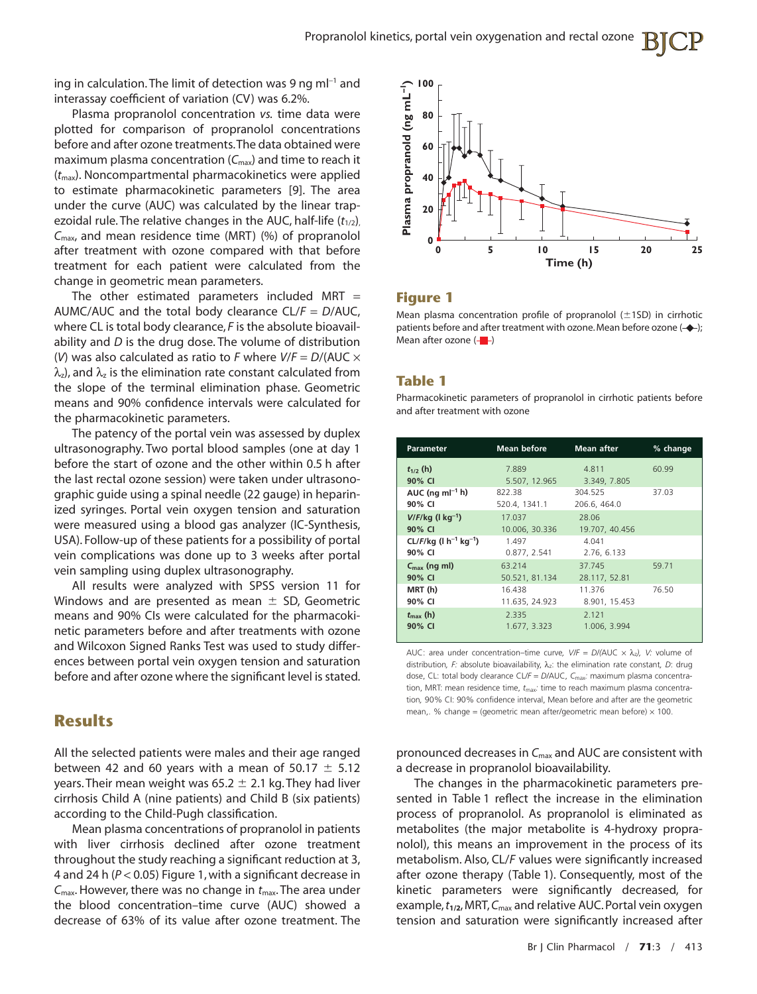ing in calculation. The limit of detection was 9 ng m $I^{-1}$  and interassay coefficient of variation (CV) was 6.2%.

Plasma propranolol concentration *vs.* time data were plotted for comparison of propranolol concentrations before and after ozone treatments.The data obtained were maximum plasma concentration (C<sub>max</sub>) and time to reach it (*t*max). Noncompartmental pharmacokinetics were applied to estimate pharmacokinetic parameters [9]. The area under the curve (AUC) was calculated by the linear trapezoidal rule. The relative changes in the AUC, half-life ( $t_{1/2}$ ), *C*max, and mean residence time (MRT) (%) of propranolol after treatment with ozone compared with that before treatment for each patient were calculated from the change in geometric mean parameters.

The other estimated parameters included MRT  $=$ AUMC/AUC and the total body clearance CL/*F* = *D*/AUC, where CL is total body clearance, *F* is the absolute bioavailability and *D* is the drug dose. The volume of distribution (*V*) was also calculated as ratio to *F* where  $V/F = D/(AUC \times$  $\lambda_z$ ), and  $\lambda_z$  is the elimination rate constant calculated from the slope of the terminal elimination phase. Geometric means and 90% confidence intervals were calculated for the pharmacokinetic parameters.

The patency of the portal vein was assessed by duplex ultrasonography. Two portal blood samples (one at day 1 before the start of ozone and the other within 0.5 h after the last rectal ozone session) were taken under ultrasonographic guide using a spinal needle (22 gauge) in heparinized syringes. Portal vein oxygen tension and saturation were measured using a blood gas analyzer (IC-Synthesis, USA). Follow-up of these patients for a possibility of portal vein complications was done up to 3 weeks after portal vein sampling using duplex ultrasonography.

All results were analyzed with SPSS version 11 for Windows and are presented as mean  $\pm$  SD, Geometric means and 90% CIs were calculated for the pharmacokinetic parameters before and after treatments with ozone and Wilcoxon Signed Ranks Test was used to study differences between portal vein oxygen tension and saturation before and after ozone where the significant level is stated.

# **Results**

All the selected patients were males and their age ranged between 42 and 60 years with a mean of 50.17  $\pm$  5.12 years. Their mean weight was 65.2  $\pm$  2.1 kg. They had liver cirrhosis Child A (nine patients) and Child B (six patients) according to the Child-Pugh classification.

Mean plasma concentrations of propranolol in patients with liver cirrhosis declined after ozone treatment throughout the study reaching a significant reduction at 3, 4 and 24 h (*P* < 0.05) Figure 1, with a significant decrease in *C*max. However, there was no change in *t*max. The area under the blood concentration–time curve (AUC) showed a decrease of 63% of its value after ozone treatment. The



#### **Figure 1**

Mean plasma concentration profile of propranolol  $(\pm 1SD)$  in cirrhotic patients before and after treatment with ozone. Mean before ozone  $(+)$ ; Mean after ozone  $\left( -\right)$ 

#### **Table 1**

Pharmacokinetic parameters of propranolol in cirrhotic patients before and after treatment with ozone

| <b>Parameter</b>                                | <b>Mean before</b> | <b>Mean after</b> | % change |
|-------------------------------------------------|--------------------|-------------------|----------|
| $t_{1/2}$ (h)                                   | 7.889              | 4.811             | 60.99    |
| 90% CI                                          | 5.507, 12.965      | 3.349, 7.805      |          |
| AUC (ng m $I^{-1}$ h)                           | 822.38             | 304.525           | 37.03    |
| 90% CI                                          | 520.4, 1341.1      | 206.6, 464.0      |          |
| $V/F/kg$ (1 kg <sup>-1</sup> )                  | 17.037             | 28.06             |          |
| 90% CI                                          | 10.006, 30.336     | 19.707, 40.456    |          |
| $CL/F/kg$ (1 h <sup>-1</sup> kg <sup>-1</sup> ) | 1.497              | 4.041             |          |
| 90% CI                                          | 0.877, 2.541       | 2.76, 6.133       |          |
| $C_{\text{max}}$ (ng ml)                        | 63.214             | 37.745            | 59.71    |
| 90% CI                                          | 50.521, 81.134     | 28.117, 52.81     |          |
| MRT (h)                                         | 16.438             | 11.376            | 76.50    |
| 90% CI                                          | 11.635, 24.923     | 8.901, 15.453     |          |
| $t_{\rm max}$ (h)                               | 2.335              | 2.121             |          |
| 90% CI                                          | 1.677, 3.323       | 1.006, 3.994      |          |

AUC: area under concentration–time curve,  $V/F = D/(AUC \times \lambda_z)$ , V: volume of distribution, *F*: absolute bioavailability, λ<sub>z</sub>: the elimination rate constant, *D*: drug dose, CL: total body clearance CL*/F* = *D/*AUC, *C*max*:* maximum plasma concentration, MRT: mean residence time,  $t_{\text{max}}$ : time to reach maximum plasma concentration*,* 90% CI: 90% confidence interval, Mean before and after are the geometric mean,. % change = (geometric mean after/geometric mean before)  $\times$  100.

pronounced decreases in *C*max and AUC are consistent with a decrease in propranolol bioavailability.

The changes in the pharmacokinetic parameters presented in Table 1 reflect the increase in the elimination process of propranolol. As propranolol is eliminated as metabolites (the major metabolite is 4-hydroxy propranolol), this means an improvement in the process of its metabolism. Also, CL/*F* values were significantly increased after ozone therapy (Table 1). Consequently, most of the kinetic parameters were significantly decreased, for example,*t***1/2**, MRT,*C*max and relative AUC. Portal vein oxygen tension and saturation were significantly increased after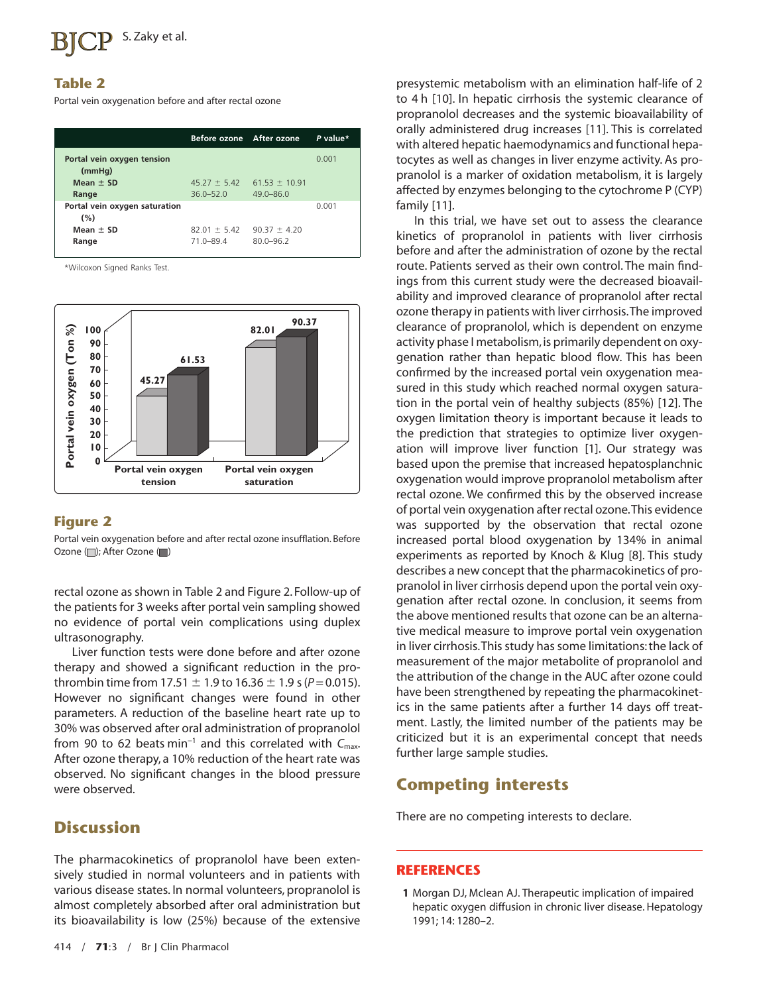#### **Table 2**

Portal vein oxygenation before and after rectal ozone

|                                      | Before ozone After ozone      |                                   | P value* |
|--------------------------------------|-------------------------------|-----------------------------------|----------|
| Portal vein oxygen tension<br>(mmHq) |                               |                                   | 0.001    |
| Mean $\pm$ SD                        | $45.27 \pm 5.42$              | $61.53 \pm 10.91$                 |          |
| Range                                | $36.0 - 52.0$                 | $49.0 - 86.0$                     |          |
| Portal vein oxygen saturation<br>(%) |                               |                                   | 0.001    |
| Mean $\pm$ SD<br>Range               | $82.01 \pm 5.42$<br>71.0-89.4 | $90.37 \pm 4.20$<br>$80.0 - 96.2$ |          |

\*Wilcoxon Signed Ranks Test.



#### **Figure 2**

Portal vein oxygenation before and after rectal ozone insufflation. Before Ozone ( ); After Ozone ( )

rectal ozone as shown in Table 2 and Figure 2. Follow-up of the patients for 3 weeks after portal vein sampling showed no evidence of portal vein complications using duplex ultrasonography.

Liver function tests were done before and after ozone therapy and showed a significant reduction in the prothrombin time from 17.51  $\pm$  1.9 to 16.36  $\pm$  1.9 s (*P* = 0.015). However no significant changes were found in other parameters. A reduction of the baseline heart rate up to 30% was observed after oral administration of propranolol from 90 to 62 beats min<sup>-1</sup> and this correlated with  $C_{\text{max}}$ . After ozone therapy, a 10% reduction of the heart rate was observed. No significant changes in the blood pressure were observed.

# **Discussion**

The pharmacokinetics of propranolol have been extensively studied in normal volunteers and in patients with various disease states. In normal volunteers, propranolol is almost completely absorbed after oral administration but its bioavailability is low (25%) because of the extensive

presystemic metabolism with an elimination half-life of 2 to 4 h [10]. In hepatic cirrhosis the systemic clearance of propranolol decreases and the systemic bioavailability of orally administered drug increases [11]. This is correlated with altered hepatic haemodynamics and functional hepatocytes as well as changes in liver enzyme activity. As propranolol is a marker of oxidation metabolism, it is largely affected by enzymes belonging to the cytochrome P (CYP) family [11].

In this trial, we have set out to assess the clearance kinetics of propranolol in patients with liver cirrhosis before and after the administration of ozone by the rectal route. Patients served as their own control. The main findings from this current study were the decreased bioavailability and improved clearance of propranolol after rectal ozone therapy in patients with liver cirrhosis.The improved clearance of propranolol, which is dependent on enzyme activity phase I metabolism,is primarily dependent on oxygenation rather than hepatic blood flow. This has been confirmed by the increased portal vein oxygenation measured in this study which reached normal oxygen saturation in the portal vein of healthy subjects (85%) [12]. The oxygen limitation theory is important because it leads to the prediction that strategies to optimize liver oxygenation will improve liver function [1]. Our strategy was based upon the premise that increased hepatosplanchnic oxygenation would improve propranolol metabolism after rectal ozone. We confirmed this by the observed increase of portal vein oxygenation after rectal ozone.This evidence was supported by the observation that rectal ozone increased portal blood oxygenation by 134% in animal experiments as reported by Knoch & Klug [8]. This study describes a new concept that the pharmacokinetics of propranolol in liver cirrhosis depend upon the portal vein oxygenation after rectal ozone. In conclusion, it seems from the above mentioned results that ozone can be an alternative medical measure to improve portal vein oxygenation in liver cirrhosis.This study has some limitations: the lack of measurement of the major metabolite of propranolol and the attribution of the change in the AUC after ozone could have been strengthened by repeating the pharmacokinetics in the same patients after a further 14 days off treatment. Lastly, the limited number of the patients may be criticized but it is an experimental concept that needs further large sample studies.

# **Competing interests**

There are no competing interests to declare.

#### **REFERENCES**

**1** Morgan DJ, Mclean AJ. Therapeutic implication of impaired hepatic oxygen diffusion in chronic liver disease. Hepatology 1991; 14: 1280–2.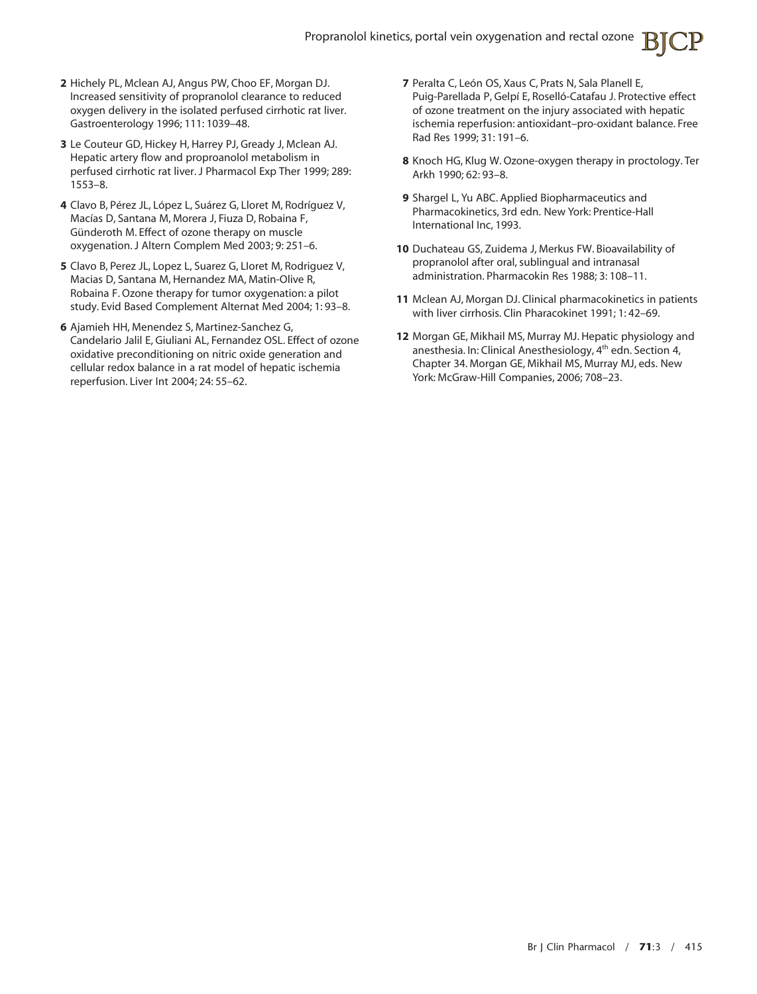- **2** Hichely PL, Mclean AJ, Angus PW, Choo EF, Morgan DJ. Increased sensitivity of propranolol clearance to reduced oxygen delivery in the isolated perfused cirrhotic rat liver. Gastroenterology 1996; 111: 1039–48.
- **3** Le Couteur GD, Hickey H, Harrey PJ, Gready J, Mclean AJ. Hepatic artery flow and proproanolol metabolism in perfused cirrhotic rat liver. J Pharmacol Exp Ther 1999; 289: 1553–8.
- **4** Clavo B, Pérez JL, López L, Suárez G, Lloret M, Rodríguez V, Macías D, Santana M, Morera J, Fiuza D, Robaina F, Günderoth M. Effect of ozone therapy on muscle oxygenation. J Altern Complem Med 2003; 9: 251–6.
- **5** Clavo B, Perez JL, Lopez L, Suarez G, LIoret M, Rodriguez V, Macias D, Santana M, Hernandez MA, Matin-Olive R, Robaina F. Ozone therapy for tumor oxygenation: a pilot study. Evid Based Complement Alternat Med 2004; 1: 93–8.
- **6** Ajamieh HH, Menendez S, Martinez-Sanchez G, Candelario Jalil E, Giuliani AL, Fernandez OSL. Effect of ozone oxidative preconditioning on nitric oxide generation and cellular redox balance in a rat model of hepatic ischemia reperfusion. Liver Int 2004; 24: 55–62.
- **7** Peralta C, León OS, Xaus C, Prats N, Sala Planell E, Puig-Parellada P, Gelpí E, Roselló-Catafau J. Protective effect of ozone treatment on the injury associated with hepatic ischemia reperfusion: antioxidant–pro-oxidant balance. Free Rad Res 1999; 31: 191–6.
- **8** Knoch HG, Klug W. Ozone-oxygen therapy in proctology. Ter Arkh 1990; 62: 93–8.
- **9** Shargel L, Yu ABC. Applied Biopharmaceutics and Pharmacokinetics, 3rd edn. New York: Prentice-Hall International Inc, 1993.
- **10** Duchateau GS, Zuidema J, Merkus FW. Bioavailability of propranolol after oral, sublingual and intranasal administration. Pharmacokin Res 1988; 3: 108–11.
- **11** Mclean AJ, Morgan DJ. Clinical pharmacokinetics in patients with liver cirrhosis. Clin Pharacokinet 1991; 1: 42–69.
- **12** Morgan GE, Mikhail MS, Murray MJ. Hepatic physiology and anesthesia. In: Clinical Anesthesiology, 4<sup>th</sup> edn. Section 4, Chapter 34. Morgan GE, Mikhail MS, Murray MJ, eds. New York: McGraw-Hill Companies, 2006; 708–23.